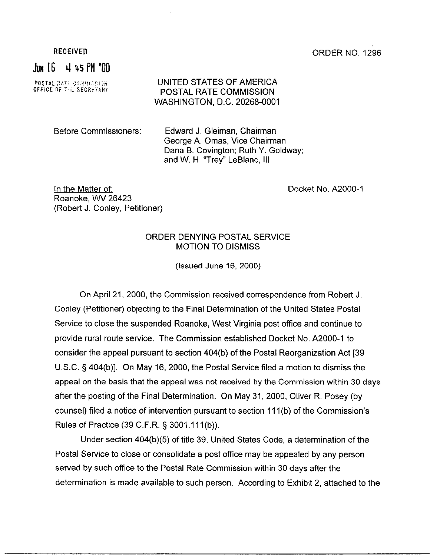## RECEIVED **CONSIDER NO. 1296**

 $J_{\text{HM}}$  16  $-$  4 45 PM  $^*$ 00

**POSTAL RATE COMMISSION**<br>**OFFICE OF THE SECRETARY** 

## UNITED STATES OF AMERICA POSTAL RATE COMMISSION WASHINGTON, D.C. 20268-0001

Before Commissioners: Edward J. Gleiman, Chairman George A. Omas, Vice Chairman Dana B. Covington; Ruth Y. Goldway; and W. H. "Trey" LeBlanc, Ill

In the Matter of: Roanoke, WV 26423 (Robert J. Conley, Petitioner) Docket No. A2000-1

## ORDER DENYING POSTAL SERVICE MOTION TO DISMISS

(Issued June 16, 2000)

On April 21,2000, the Commission received correspondence from Robert J. Conley (Petitioner) objecting to the Final Determination of the United States Postal Service to close the suspended Roanoke, West Virginia post office and continue to provide rural route service. The Commission established Docket No. A2000-1 to consider the appeal pursuant to section 404(b) of the Postal Reorganization Act [39 U.S.C. 5 404(b)]. On May 16, 2000, the Postal Service filed a motion to dismiss the appeal on the basis that the appeal was not received by the Commission within 30 days after the posting of the Final Determination. On May 31, 2000, Oliver R. Posey (by counsel) filed a notice of intervention pursuant to section 111 (b) of the Commission's Rules of Practice (39 C.F.R. § 3001.111(b)).

Under section 404(b)(5) of title 39, United States Code, a determination of the Postal Service to close or consolidate a post office may be appealed by any person served by such office to the Postal Rate Commission within 30 days after the determination is made available to such person. According to Exhibit 2, attached to the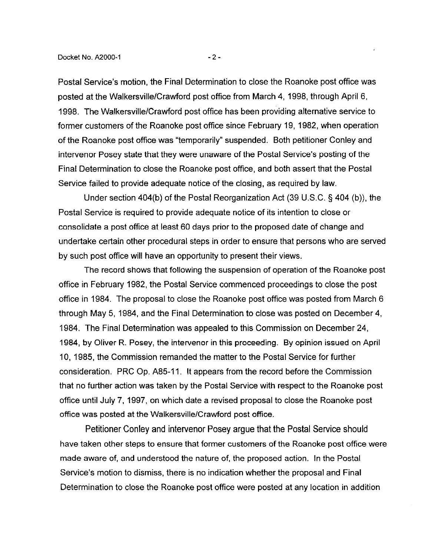Postal Service's motion, the Final Determination to close the Roanoke post office was posted at the Walkersville/Crawford post office from March 4, 1998, through April 6, 1998. The Walkersville/Crawford post office has been providing alternative service to former customers of the Roanoke post office since February 19, 1982, when operation of the Roanoke post office was "temporarily" suspended. Both petitioner Conley and intervenor Posey state that they were unaware of the Postal Service's posting of the Final Determination to close the Roanoke post office, and both assert that the Postal Service failed to provide adequate notice of the closing, as required by law.

Under section 404(b) of the Postal Reorganization Act (39 U.S.C. § 404 (b)), the Postal Service is required to provide adequate notice of its intention to close or consolidate a post office at least 60 days prior to the proposed date of change and undertake certain other procedural steps in order to ensure that persons who are served by such post office will have an opportunity to present their views.

The record shows that following the suspension of operation of the Roanoke post office in February 1982, the Postal Service commenced proceedings to close the post office in 1984. The proposal to close the Roanoke post office was posted from March 6 through May 5, 1984, and the Final Determination to close was posted on December 4, 1984. The Final Determination was appealed to this Commission on December 24, 1984, by Oliver R. Posey, the intervenor in this proceeding. By opinion issued on April 10, 1985, the Commission remanded the matter to the Postal Service for further consideration. PRC Op. A851 I. It appears from the record before the Commission that no further action was taken by the Postal Service with respect to the Roanoke post office until July 7, 1997, on which date a revised proposal to close the Roanoke post office was posted at the Walkersville/Crawford post office.

Petitioner Conley and intervenor Posey argue that the Postal Service should have taken other steps to ensure that former customers of the Roanoke post office were made aware of, and understood the nature of, the proposed action. In the Postal Service's motion to dismiss, there is no indication whether the proposal and Final Determination to close the Roanoke post office were posted at any location in addition